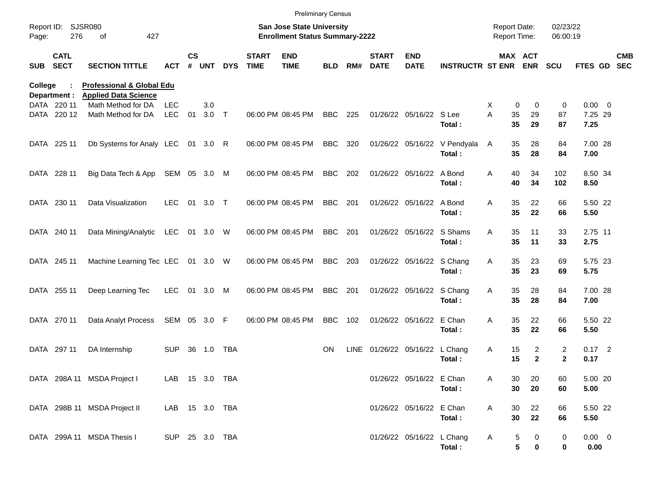|         |                                        |                                                                     |                |                    |                                                                    |            |                             | <b>Preliminary Census</b> |            |             |                             |                           |                                        |                                     |                               |                      |                     |                          |
|---------|----------------------------------------|---------------------------------------------------------------------|----------------|--------------------|--------------------------------------------------------------------|------------|-----------------------------|---------------------------|------------|-------------|-----------------------------|---------------------------|----------------------------------------|-------------------------------------|-------------------------------|----------------------|---------------------|--------------------------|
| Page:   | Report ID: SJSR080<br>276<br>427<br>оf |                                                                     |                |                    | San Jose State University<br><b>Enrollment Status Summary-2222</b> |            |                             |                           |            |             |                             |                           |                                        | <b>Report Date:</b><br>Report Time: |                               | 02/23/22<br>06:00:19 |                     |                          |
| SUB     | <b>CATL</b><br><b>SECT</b>             | <b>SECTION TITTLE</b>                                               | <b>ACT</b>     | $\mathsf{cs}$<br># | UNT                                                                | <b>DYS</b> | <b>START</b><br><b>TIME</b> | <b>END</b><br><b>TIME</b> | <b>BLD</b> | RM#         | <b>START</b><br><b>DATE</b> | <b>END</b><br><b>DATE</b> | <b>INSTRUCTR ST ENR</b>                |                                     | MAX ACT<br><b>ENR</b>         | <b>SCU</b>           | FTES GD             | <b>CMB</b><br><b>SEC</b> |
| College | Department :                           | <b>Professional &amp; Global Edu</b><br><b>Applied Data Science</b> |                |                    |                                                                    |            |                             |                           |            |             |                             |                           |                                        |                                     |                               |                      |                     |                          |
|         | DATA 220 11                            | Math Method for DA                                                  | <b>LEC</b>     |                    | 3.0                                                                |            |                             |                           |            |             |                             |                           |                                        | X                                   | 0<br>0                        | 0                    | $0.00 \t 0$         |                          |
|         | DATA 220 12                            | Math Method for DA                                                  | <b>LEC</b>     | 01                 | 3.0                                                                | $\top$     |                             | 06:00 PM 08:45 PM         | <b>BBC</b> | 225         |                             | 01/26/22 05/16/22 S Lee   | Total:                                 | Α                                   | 35<br>29<br>35<br>29          | 87<br>87             | 7.25 29<br>7.25     |                          |
|         | DATA 225 11                            | Db Systems for Analy LEC                                            |                | 01                 | 3.0                                                                | R          |                             | 06:00 PM 08:45 PM         | <b>BBC</b> | 320         |                             |                           | 01/26/22 05/16/22 V Pendyala<br>Total: | A                                   | 35<br>28<br>35<br>28          | 84<br>84             | 7.00 28<br>7.00     |                          |
|         | DATA 228 11                            | Big Data Tech & App SEM 05 3.0 M                                    |                |                    |                                                                    |            |                             | 06:00 PM 08:45 PM         | <b>BBC</b> | 202         |                             | 01/26/22 05/16/22 A Bond  | Total:                                 | Α                                   | 40<br>34<br>40<br>34          | 102<br>102           | 8.50 34<br>8.50     |                          |
|         | DATA 230 11                            | Data Visualization                                                  | <b>LEC</b>     | 01                 | 3.0                                                                | $\top$     |                             | 06:00 PM 08:45 PM         | <b>BBC</b> | 201         |                             | 01/26/22 05/16/22 A Bond  | Total:                                 | A                                   | 35<br>22<br>35<br>22          | 66<br>66             | 5.50 22<br>5.50     |                          |
|         | DATA 240 11                            | Data Mining/Analytic                                                | LEC            | 01                 | 3.0                                                                | W          |                             | 06:00 PM 08:45 PM         | <b>BBC</b> | 201         |                             | 01/26/22 05/16/22 S Shams | Total:                                 | A                                   | 35<br>11<br>35<br>11          | 33<br>33             | 2.75 11<br>2.75     |                          |
|         | DATA 245 11                            | Machine Learning Tec LEC                                            |                | 01                 | 3.0 W                                                              |            |                             | 06:00 PM 08:45 PM         | <b>BBC</b> | 203         |                             | 01/26/22 05/16/22 S Chang | Total:                                 | Α                                   | 35<br>23<br>35<br>23          | 69<br>69             | 5.75 23<br>5.75     |                          |
|         | DATA 255 11                            | Deep Learning Tec                                                   | <b>LEC</b>     | 01                 | 3.0                                                                | M          |                             | 06:00 PM 08:45 PM         | <b>BBC</b> | 201         |                             | 01/26/22 05/16/22 S Chang | Total:                                 | Α                                   | 35<br>28<br>35<br>28          | 84<br>84             | 7.00 28<br>7.00     |                          |
|         | DATA 270 11                            | Data Analyt Process                                                 | SEM 05 3.0     |                    |                                                                    | F          |                             | 06:00 PM 08:45 PM         | <b>BBC</b> | 102         |                             | 01/26/22 05/16/22 E Chan  | Total:                                 | Α                                   | 35<br>22<br>35<br>22          | 66<br>66             | 5.50 22<br>5.50     |                          |
|         | DATA 297 11                            | DA Internship                                                       | <b>SUP</b>     |                    | 36 1.0                                                             | TBA        |                             |                           | <b>ON</b>  | <b>LINE</b> | 01/26/22 05/16/22 L Chang   |                           | Total:                                 | Α                                   | 2<br>15<br>15<br>$\mathbf{2}$ | $\overline{2}$<br>2  | $0.17$ 2<br>0.17    |                          |
|         |                                        | DATA 298A 11 MSDA Project I                                         | LAB 15 3.0 TBA |                    |                                                                    |            |                             |                           |            |             |                             | 01/26/22 05/16/22 E Chan  | Total:                                 | Α                                   | 30<br>20<br>30<br>20          | 60<br>60             | 5.00 20<br>5.00     |                          |
|         |                                        | DATA 298B 11 MSDA Project II                                        | LAB 15 3.0 TBA |                    |                                                                    |            |                             |                           |            |             |                             | 01/26/22 05/16/22 E Chan  | Total:                                 | Α                                   | 30<br>22<br>30<br>22          | 66<br>66             | 5.50 22<br>5.50     |                          |
|         |                                        | DATA 299A 11 MSDA Thesis I                                          | SUP 25 3.0 TBA |                    |                                                                    |            |                             |                           |            |             |                             | 01/26/22 05/16/22 L Chang | Total:                                 | A                                   | 5<br>0<br>5<br>$\mathbf 0$    | $\pmb{0}$<br>0       | $0.00 \t 0$<br>0.00 |                          |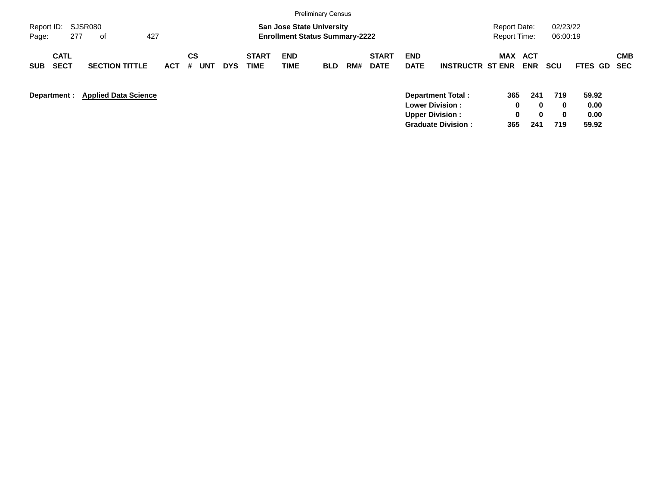|                                                                   |            |                |                                                                           |                           | <b>Preliminary Census</b> |     |                             |                                                  |                                                       |                      |                                                                    |                             |                                |                          |
|-------------------------------------------------------------------|------------|----------------|---------------------------------------------------------------------------|---------------------------|---------------------------|-----|-----------------------------|--------------------------------------------------|-------------------------------------------------------|----------------------|--------------------------------------------------------------------|-----------------------------|--------------------------------|--------------------------|
| SJSR080<br>Report ID:<br>277<br>Page:<br>οf                       | 427        |                | <b>San Jose State University</b><br><b>Enrollment Status Summary-2222</b> |                           |                           |     |                             |                                                  |                                                       |                      | 02/23/22<br><b>Report Date:</b><br><b>Report Time:</b><br>06:00:19 |                             |                                |                          |
| <b>CATL</b><br><b>SECT</b><br><b>SECTION TITTLE</b><br><b>SUB</b> | <b>ACT</b> | CS<br>#<br>UNT | <b>START</b><br><b>TIME</b><br><b>DYS</b>                                 | <b>END</b><br><b>TIME</b> | <b>BLD</b>                | RM# | <b>START</b><br><b>DATE</b> | <b>END</b><br><b>DATE</b>                        | <b>INSTRUCTR ST ENR</b>                               | <b>MAX</b>           | ACT<br><b>ENR</b>                                                  | <b>SCU</b>                  | <b>FTES GD</b>                 | <b>CMB</b><br><b>SEC</b> |
| <b>Applied Data Science</b><br>Department :                       |            |                |                                                                           |                           |                           |     |                             | <b>Lower Division:</b><br><b>Upper Division:</b> | <b>Department Total:</b><br><b>Graduate Division:</b> | 365<br>0<br>0<br>365 | 241<br>$\bf{0}$<br>$\bf{0}$<br>241                                 | 719<br>$\bf{0}$<br>0<br>719 | 59.92<br>0.00<br>0.00<br>59.92 |                          |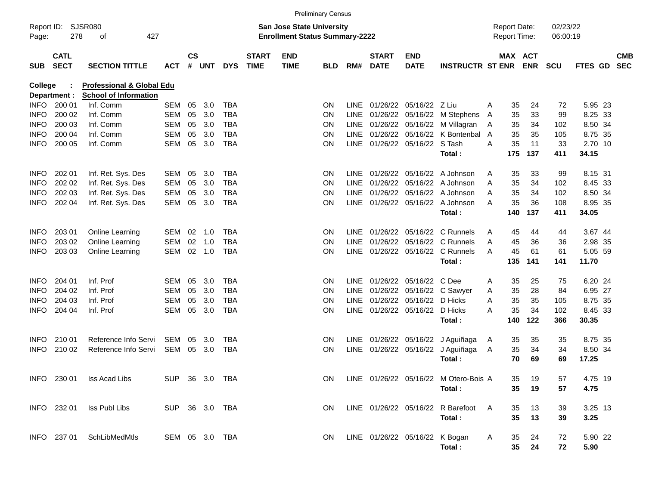|                     |                            |                                                                      |                |                                                                           |                |            |                             |                           | <b>Preliminary Census</b> |             |                             |                                |                                       |                      |     |                       |            |         |                          |
|---------------------|----------------------------|----------------------------------------------------------------------|----------------|---------------------------------------------------------------------------|----------------|------------|-----------------------------|---------------------------|---------------------------|-------------|-----------------------------|--------------------------------|---------------------------------------|----------------------|-----|-----------------------|------------|---------|--------------------------|
| Report ID:<br>Page: | 278                        | SJSR080<br>427<br>οf                                                 |                | <b>San Jose State University</b><br><b>Enrollment Status Summary-2222</b> |                |            |                             |                           |                           |             |                             |                                | <b>Report Date:</b><br>Report Time:   | 02/23/22<br>06:00:19 |     |                       |            |         |                          |
| <b>SUB</b>          | <b>CATL</b><br><b>SECT</b> | <b>SECTION TITTLE</b>                                                | ACT            | $\mathsf{cs}$                                                             | # UNT          | <b>DYS</b> | <b>START</b><br><b>TIME</b> | <b>END</b><br><b>TIME</b> | <b>BLD</b>                | RM#         | <b>START</b><br><b>DATE</b> | <b>END</b><br><b>DATE</b>      | <b>INSTRUCTR ST ENR</b>               |                      |     | MAX ACT<br><b>ENR</b> | <b>SCU</b> | FTES GD | <b>CMB</b><br><b>SEC</b> |
| <b>College</b>      | Department :               | <b>Professional &amp; Global Edu</b><br><b>School of Information</b> |                |                                                                           |                |            |                             |                           |                           |             |                             |                                |                                       |                      |     |                       |            |         |                          |
| <b>INFO</b>         | 200 01                     | Inf. Comm                                                            | <b>SEM</b>     | 05                                                                        | 3.0            | <b>TBA</b> |                             |                           | <b>ON</b>                 | LINE.       | 01/26/22                    | 05/16/22                       | – Z Liu                               | A                    | 35  | 24                    | 72         | 5.95 23 |                          |
| <b>INFO</b>         | 200 02                     | Inf. Comm                                                            | <b>SEM</b>     | 05                                                                        | 3.0            | <b>TBA</b> |                             |                           | <b>ON</b>                 | <b>LINE</b> | 01/26/22                    | 05/16/22                       | M Stephens                            | A                    | 35  | 33                    | 99         | 8.25 33 |                          |
| <b>INFO</b>         | 200 03                     | Inf. Comm                                                            | <b>SEM</b>     | 05                                                                        | 3.0            | <b>TBA</b> |                             |                           | ON                        |             | LINE 01/26/22               | 05/16/22                       | M Villagran                           | Α                    | 35  | 34                    | 102        | 8.50 34 |                          |
| <b>INFO</b>         | 200 04                     | Inf. Comm                                                            | <b>SEM</b>     | 05                                                                        | 3.0            | <b>TBA</b> |                             |                           | <b>ON</b>                 |             | LINE 01/26/22               | 05/16/22                       | K Bontenbal                           | $\overline{A}$       | 35  | 35                    | 105        | 8.75 35 |                          |
| <b>INFO</b>         | 200 05                     | Inf. Comm                                                            | <b>SEM</b>     | 05                                                                        | 3.0            | <b>TBA</b> |                             |                           | <b>ON</b>                 |             | LINE 01/26/22 05/16/22      |                                | S Tash                                | A                    | 35  | 11                    | 33         | 2.70 10 |                          |
|                     |                            |                                                                      |                |                                                                           |                |            |                             |                           |                           |             |                             |                                | Total:                                |                      | 175 | 137                   | 411        | 34.15   |                          |
| <b>INFO</b>         | 202 01                     | Inf. Ret. Sys. Des                                                   | SEM            | 05                                                                        | 3.0            | <b>TBA</b> |                             |                           | <b>ON</b>                 | <b>LINE</b> | 01/26/22                    | 05/16/22                       | A Johnson                             | A                    | 35  | 33                    | 99         | 8.15 31 |                          |
| <b>INFO</b>         | 202 02                     | Inf. Ret. Sys. Des                                                   | <b>SEM</b>     | 05                                                                        | 3.0            | <b>TBA</b> |                             |                           | <b>ON</b>                 | <b>LINE</b> | 01/26/22                    | 05/16/22                       | A Johnson                             | A                    | 35  | 34                    | 102        | 8.45 33 |                          |
| <b>INFO</b>         | 202 03                     | Inf. Ret. Sys. Des                                                   | <b>SEM</b>     | 05                                                                        | 3.0            | <b>TBA</b> |                             |                           | <b>ON</b>                 | <b>LINE</b> | 01/26/22                    | 05/16/22                       | A Johnson                             | A                    | 35  | 34                    | 102        | 8.50 34 |                          |
| <b>INFO</b>         | 202 04                     | Inf. Ret. Sys. Des                                                   | <b>SEM</b>     | 05                                                                        | 3.0            | <b>TBA</b> |                             |                           | <b>ON</b>                 |             |                             |                                | LINE 01/26/22 05/16/22 A Johnson      | A                    | 35  | 36                    | 108        | 8.95 35 |                          |
|                     |                            |                                                                      |                |                                                                           |                |            |                             |                           |                           |             |                             |                                | Total:                                |                      | 140 | 137                   | 411        | 34.05   |                          |
| <b>INFO</b>         | 203 01                     | Online Learning                                                      | <b>SEM</b>     | 02                                                                        | 1.0            | <b>TBA</b> |                             |                           | <b>ON</b>                 | LINE        | 01/26/22                    | 05/16/22                       | C Runnels                             | A                    | 45  | 44                    | 44         | 3.67 44 |                          |
| <b>INFO</b>         | 203 02                     | Online Learning                                                      | <b>SEM</b>     | 02                                                                        | 1.0            | <b>TBA</b> |                             |                           | <b>ON</b>                 | <b>LINE</b> | 01/26/22                    | 05/16/22                       | C Runnels                             | A                    | 45  | 36                    | 36         | 2.98 35 |                          |
| <b>INFO</b>         | 203 03                     | Online Learning                                                      | <b>SEM</b>     | 02                                                                        | 1.0            | <b>TBA</b> |                             |                           | ΟN                        |             |                             | LINE 01/26/22 05/16/22         | C Runnels                             | A                    | 45  | 61                    | 61         | 5.05 59 |                          |
|                     |                            |                                                                      |                |                                                                           |                |            |                             |                           |                           |             |                             |                                | Total:                                |                      | 135 | 141                   | 141        | 11.70   |                          |
| <b>INFO</b>         | 204 01                     | Inf. Prof                                                            | <b>SEM</b>     | 05                                                                        | 3.0            | <b>TBA</b> |                             |                           | <b>ON</b>                 | <b>LINE</b> | 01/26/22                    | 05/16/22                       | C Dee                                 | A                    | 35  | 25                    | 75         | 6.20 24 |                          |
| <b>INFO</b>         | 204 02                     | Inf. Prof                                                            | <b>SEM</b>     | 05                                                                        | 3.0            | <b>TBA</b> |                             |                           | ON                        | LINE        | 01/26/22                    | 05/16/22                       | C Sawyer                              | Α                    | 35  | 28                    | 84         | 6.95 27 |                          |
| <b>INFO</b>         | 204 03                     | Inf. Prof                                                            | <b>SEM</b>     | 05                                                                        | 3.0            | <b>TBA</b> |                             |                           | <b>ON</b>                 | <b>LINE</b> | 01/26/22                    | 05/16/22                       | D Hicks                               | A                    | 35  | 35                    | 105        | 8.75 35 |                          |
| INFO                | 204 04                     | Inf. Prof                                                            | <b>SEM</b>     | 05                                                                        | 3.0            | <b>TBA</b> |                             |                           | ΟN                        |             | LINE 01/26/22 05/16/22      |                                | D Hicks                               | A                    | 35  | 34                    | 102        | 8.45 33 |                          |
|                     |                            |                                                                      |                |                                                                           |                |            |                             |                           |                           |             |                             |                                | Total:                                |                      | 140 | 122                   | 366        | 30.35   |                          |
| <b>INFO</b>         | 210 01                     | Reference Info Servi                                                 | <b>SEM</b>     | 05                                                                        | 3.0            | TBA        |                             |                           | ON                        |             |                             |                                | LINE 01/26/22 05/16/22 J Aguiñaga     | A                    | 35  | 35                    | 35         | 8.75 35 |                          |
| INFO                | 210 02                     | Reference Info Servi                                                 | <b>SEM</b>     | 05                                                                        | 3.0            | <b>TBA</b> |                             |                           | ON                        | <b>LINE</b> | 01/26/22                    | 05/16/22                       | J Aguiñaga                            | A                    | 35  | 34                    | 34         | 8.50 34 |                          |
|                     |                            |                                                                      |                |                                                                           |                |            |                             |                           |                           |             |                             |                                | Total:                                |                      | 70  | 69                    | 69         | 17.25   |                          |
|                     | INFO 230 01                | Iss Acad Libs                                                        |                |                                                                           | SUP 36 3.0 TBA |            |                             |                           | ON.                       |             |                             |                                | LINE 01/26/22 05/16/22 M Otero-Bois A |                      | 35  | 19                    | 57         | 4.75 19 |                          |
|                     |                            |                                                                      |                |                                                                           |                |            |                             |                           |                           |             |                             |                                | Total:                                |                      | 35  | 19                    | 57         | 4.75    |                          |
|                     | INFO 232 01                | Iss Publ Libs                                                        | SUP 36 3.0 TBA |                                                                           |                |            |                             |                           | ON                        |             |                             |                                | LINE 01/26/22 05/16/22 R Barefoot A   |                      | 35  | 13                    | 39         | 3.25 13 |                          |
|                     |                            |                                                                      |                |                                                                           |                |            |                             |                           |                           |             |                             |                                | Total:                                |                      | 35  | 13                    | 39         | 3.25    |                          |
|                     | INFO 237 01                | SchLibMedMtls                                                        | SEM 05 3.0 TBA |                                                                           |                |            |                             |                           | ON.                       |             |                             | LINE 01/26/22 05/16/22 K Bogan |                                       | $\mathsf{A}$         | 35  | 24                    | 72         | 5.90 22 |                          |
|                     |                            |                                                                      |                |                                                                           |                |            |                             |                           |                           |             |                             |                                | Total:                                |                      | 35  | 24                    | 72         | 5.90    |                          |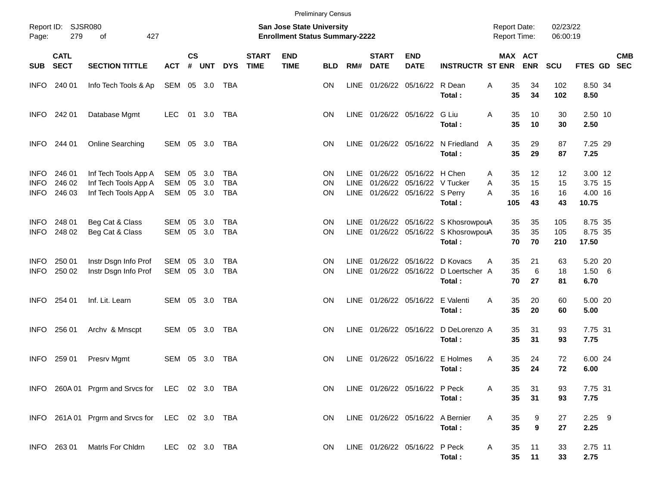| Report ID:<br>Page:                       | SJSR080<br>279             |                                                                      | <b>Preliminary Census</b><br><b>San Jose State University</b><br><b>Enrollment Status Summary-2222</b> |                    |                   |                                 |                             |                           |                               |                            |                             | <b>Report Date:</b><br><b>Report Time:</b>                                      |                                                                                   |             | 02/23/22<br>06:00:19  |                      |                      |                                        |      |                          |
|-------------------------------------------|----------------------------|----------------------------------------------------------------------|--------------------------------------------------------------------------------------------------------|--------------------|-------------------|---------------------------------|-----------------------------|---------------------------|-------------------------------|----------------------------|-----------------------------|---------------------------------------------------------------------------------|-----------------------------------------------------------------------------------|-------------|-----------------------|----------------------|----------------------|----------------------------------------|------|--------------------------|
| <b>SUB</b>                                | <b>CATL</b><br><b>SECT</b> | <b>SECTION TITTLE</b>                                                | <b>ACT</b>                                                                                             | $\mathsf{cs}$<br># | <b>UNT</b>        | <b>DYS</b>                      | <b>START</b><br><b>TIME</b> | <b>END</b><br><b>TIME</b> | <b>BLD</b>                    | RM#                        | <b>START</b><br><b>DATE</b> | <b>END</b><br><b>DATE</b>                                                       | <b>INSTRUCTR ST ENR</b>                                                           |             | MAX ACT               | <b>ENR</b>           | <b>SCU</b>           | FTES GD                                |      | <b>CMB</b><br><b>SEC</b> |
| <b>INFO</b>                               | 240 01                     | Info Tech Tools & Ap                                                 | SEM                                                                                                    | 05                 | 3.0               | TBA                             |                             |                           | <b>ON</b>                     | <b>LINE</b>                | 01/26/22                    | 05/16/22                                                                        | R Dean<br>Total:                                                                  | A           | 35<br>35              | 34<br>34             | 102<br>102           | 8.50 34<br>8.50                        |      |                          |
| <b>INFO</b>                               | 242 01                     | Database Mgmt                                                        | <b>LEC</b>                                                                                             | 01                 | 3.0               | TBA                             |                             |                           | <b>ON</b>                     |                            | LINE 01/26/22 05/16/22      |                                                                                 | G Liu<br>Total:                                                                   | A           | 35<br>35              | 10<br>10             | 30<br>30             | 2.50 10<br>2.50                        |      |                          |
| <b>INFO</b>                               | 244 01                     | Online Searching                                                     | SEM                                                                                                    | 05                 | 3.0               | TBA                             |                             |                           | <b>ON</b>                     |                            |                             |                                                                                 | LINE 01/26/22 05/16/22 N Friedland<br>Total:                                      | A           | 35<br>35              | 29<br>29             | 87<br>87             | 7.25 29<br>7.25                        |      |                          |
| <b>INFO</b><br><b>INFO</b><br><b>INFO</b> | 246 01<br>246 02<br>246 03 | Inf Tech Tools App A<br>Inf Tech Tools App A<br>Inf Tech Tools App A | SEM<br><b>SEM</b><br>SEM                                                                               | 05<br>05<br>05     | 3.0<br>3.0<br>3.0 | TBA<br><b>TBA</b><br><b>TBA</b> |                             |                           | ON.<br><b>ON</b><br><b>ON</b> | <b>LINE</b><br><b>LINE</b> | 01/26/22                    | LINE 01/26/22 05/16/22 H Chen<br>05/16/22 V Tucker<br>01/26/22 05/16/22 S Perry | Total:                                                                            | A<br>A<br>A | 35<br>35<br>35<br>105 | 12<br>15<br>16<br>43 | 12<br>15<br>16<br>43 | 3.00 12<br>3.75 15<br>4.00 16<br>10.75 |      |                          |
| <b>INFO</b><br><b>INFO</b>                | 248 01<br>248 02           | Beg Cat & Class<br>Beg Cat & Class                                   | <b>SEM</b><br>SEM                                                                                      | 05<br>05           | 3.0<br>3.0        | TBA<br><b>TBA</b>               |                             |                           | <b>ON</b><br><b>ON</b>        | LINE.                      |                             |                                                                                 | 01/26/22 05/16/22 S KhosrowpouA<br>LINE 01/26/22 05/16/22 S KhosrowpouA<br>Total: |             | 35<br>35<br>70        | 35<br>35<br>70       | 105<br>105<br>210    | 8.75 35<br>8.75 35<br>17.50            |      |                          |
| <b>INFO</b><br><b>INFO</b>                | 250 01<br>250 02           | Instr Dsgn Info Prof<br>Instr Dsgn Info Prof                         | SEM<br>SEM                                                                                             | 05<br>05           | 3.0<br>3.0        | TBA<br><b>TBA</b>               |                             |                           | ON.<br><b>ON</b>              | <b>LINE</b>                | 01/26/22                    | 05/16/22                                                                        | D Kovacs<br>LINE 01/26/22 05/16/22 D Loertscher A<br>Total:                       | A           | 35<br>35<br>70        | 21<br>6<br>27        | 63<br>18<br>81       | 5.20 20<br>1.50<br>6.70                | $-6$ |                          |
| <b>INFO</b>                               | 254 01                     | Inf. Lit. Learn                                                      | SEM 05                                                                                                 |                    | 3.0               | TBA                             |                             |                           | <b>ON</b>                     |                            |                             | LINE 01/26/22 05/16/22                                                          | E Valenti<br>Total:                                                               | A           | 35<br>35              | 20<br>20             | 60<br>60             | 5.00 20<br>5.00                        |      |                          |
| <b>INFO</b>                               | 256 01                     | Archv & Mnscpt                                                       | SEM                                                                                                    | 05                 | 3.0               | TBA                             |                             |                           | <b>ON</b>                     |                            |                             | LINE 01/26/22 05/16/22                                                          | D DeLorenzo A<br>Total:                                                           |             | 35<br>35              | 31<br>31             | 93<br>93             | 7.75 31<br>7.75                        |      |                          |
| <b>INFO</b>                               | 259 01                     | Presrv Mgmt                                                          | SEM                                                                                                    | 05                 | 3.0               | TBA                             |                             |                           | <b>ON</b>                     |                            | LINE 01/26/22 05/16/22      |                                                                                 | E Holmes<br>Total:                                                                | A           | 35<br>35              | 24<br>24             | 72<br>72             | 6.00 24<br>6.00                        |      |                          |
|                                           |                            | INFO 260A 01 Prgrm and Srvcs for LEC 02 3.0 TBA                      |                                                                                                        |                    |                   |                                 |                             |                           | ON.                           |                            |                             | LINE 01/26/22 05/16/22 P Peck                                                   | Total:                                                                            | A           | 35<br>35              | 31<br>31             | 93<br>93             | 7.75 31<br>7.75                        |      |                          |
|                                           |                            | INFO 261A 01 Prgrm and Srvcs for LEC 02 3.0 TBA                      |                                                                                                        |                    |                   |                                 |                             |                           | <b>ON</b>                     |                            |                             | LINE 01/26/22 05/16/22 A Bernier                                                | Total:                                                                            | A           | 35<br>35              | 9<br>9               | 27<br>27             | $2.25$ 9<br>2.25                       |      |                          |
|                                           | INFO 263 01                | Matris For Chidrn                                                    | LEC 02 3.0 TBA                                                                                         |                    |                   |                                 |                             |                           | <b>ON</b>                     |                            |                             | LINE 01/26/22 05/16/22 P Peck                                                   | Total:                                                                            | A           | 35<br>$35\phantom{a}$ | 11<br>11             | 33<br>33             | 2.75 11<br>2.75                        |      |                          |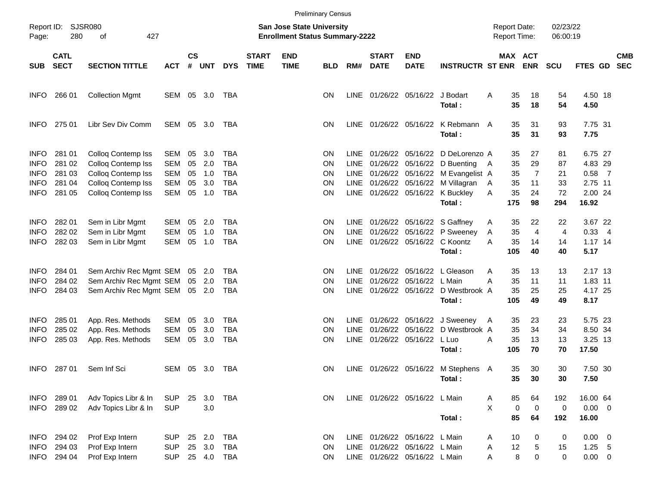|                                                          |                                           |                                                                                             |                                                      |                                                                           |                          |                                                      |                             |                           | <b>Preliminary Census</b>    |                                     |                             |                                                                                                 |                                                                                  |             |                       |                         |                      |                                           |                |                          |
|----------------------------------------------------------|-------------------------------------------|---------------------------------------------------------------------------------------------|------------------------------------------------------|---------------------------------------------------------------------------|--------------------------|------------------------------------------------------|-----------------------------|---------------------------|------------------------------|-------------------------------------|-----------------------------|-------------------------------------------------------------------------------------------------|----------------------------------------------------------------------------------|-------------|-----------------------|-------------------------|----------------------|-------------------------------------------|----------------|--------------------------|
| Page:                                                    | SJSR080<br>Report ID:<br>280<br>427<br>of |                                                                                             |                                                      | <b>San Jose State University</b><br><b>Enrollment Status Summary-2222</b> |                          |                                                      |                             |                           |                              |                                     |                             | <b>Report Date:</b><br><b>Report Time:</b>                                                      |                                                                                  |             | 02/23/22<br>06:00:19  |                         |                      |                                           |                |                          |
| SUB                                                      | <b>CATL</b><br><b>SECT</b>                | <b>SECTION TITTLE</b>                                                                       | <b>ACT</b>                                           | $\mathsf{cs}$<br>#                                                        | <b>UNT</b>               | <b>DYS</b>                                           | <b>START</b><br><b>TIME</b> | <b>END</b><br><b>TIME</b> | <b>BLD</b>                   | RM#                                 | <b>START</b><br><b>DATE</b> | <b>END</b><br><b>DATE</b>                                                                       | <b>INSTRUCTR ST ENR</b>                                                          |             | MAX ACT               | <b>ENR</b>              | <b>SCU</b>           | <b>FTES GD</b>                            |                | <b>CMB</b><br><b>SEC</b> |
| <b>INFO</b>                                              | 266 01                                    | <b>Collection Mgmt</b>                                                                      | SEM                                                  | 05                                                                        | 3.0                      | TBA                                                  |                             |                           | <b>ON</b>                    | LINE                                |                             | 01/26/22 05/16/22                                                                               | J Bodart<br>Total:                                                               | A           | 35<br>35              | 18<br>18                | 54<br>54             | 4.50 18<br>4.50                           |                |                          |
| <b>INFO</b>                                              | 275 01                                    | Libr Sev Div Comm                                                                           | SEM                                                  | 05                                                                        | 3.0                      | TBA                                                  |                             |                           | <b>ON</b>                    | LINE                                |                             |                                                                                                 | 01/26/22 05/16/22 K Rebmann A<br>Total:                                          |             | 35<br>35              | 31<br>31                | 93<br>93             | 7.75 31<br>7.75                           |                |                          |
| <b>INFO</b><br><b>INFO</b><br><b>INFO</b><br><b>INFO</b> | 281 01<br>281 02<br>281 03<br>281 04      | Colloq Contemp Iss<br>Colloq Contemp Iss<br>Colloq Contemp Iss<br><b>Colloq Contemp Iss</b> | <b>SEM</b><br><b>SEM</b><br><b>SEM</b><br><b>SEM</b> | 05<br>05<br>05<br>05                                                      | 3.0<br>2.0<br>1.0<br>3.0 | <b>TBA</b><br><b>TBA</b><br><b>TBA</b><br><b>TBA</b> |                             |                           | <b>ON</b><br>ON<br>ON<br>ON  | LINE<br><b>LINE</b><br>LINE<br>LINE | 01/26/22                    | 01/26/22 05/16/22<br>05/16/22<br>01/26/22 05/16/22                                              | D DeLorenzo A<br>D Buenting<br>M Evangelist A<br>01/26/22 05/16/22 M Villagran   | - A<br>A    | 35<br>35<br>35<br>35  | 27<br>29<br>7<br>11     | 81<br>87<br>21<br>33 | 6.75 27<br>4.83 29<br>$0.58$ 7<br>2.75 11 |                |                          |
| <b>INFO</b>                                              | 281 05                                    | <b>Colloq Contemp Iss</b>                                                                   | <b>SEM</b>                                           | 05                                                                        | 1.0                      | <b>TBA</b>                                           |                             |                           | <b>ON</b>                    | LINE                                |                             |                                                                                                 | 01/26/22 05/16/22 K Buckley<br>Total:                                            | A           | 35<br>175             | 24<br>98                | 72<br>294            | 2.00 24<br>16.92                          |                |                          |
| <b>INFO</b><br><b>INFO</b><br><b>INFO</b>                | 282 01<br>282 02<br>282 03                | Sem in Libr Mgmt<br>Sem in Libr Mgmt<br>Sem in Libr Mgmt                                    | <b>SEM</b><br><b>SEM</b><br><b>SEM</b>               | 05<br>05<br>05                                                            | 2.0<br>1.0<br>1.0        | <b>TBA</b><br><b>TBA</b><br><b>TBA</b>               |                             |                           | ON<br>ON<br><b>ON</b>        | LINE<br><b>LINE</b><br>LINE         |                             | 01/26/22 05/16/22                                                                               | 01/26/22 05/16/22 S Gaffney<br>P Sweeney<br>01/26/22 05/16/22 C Koontz<br>Total: | Α<br>A<br>A | 35<br>35<br>35<br>105 | 22<br>4<br>14<br>40     | 22<br>4<br>14<br>40  | 3.67 22<br>0.33<br>$1.17$ 14<br>5.17      | $\overline{4}$ |                          |
| <b>INFO</b><br><b>INFO</b><br><b>INFO</b>                | 284 01<br>284 02<br>284 03                | Sem Archiv Rec Mgmt SEM<br>Sem Archiv Rec Mgmt SEM<br>Sem Archiv Rec Mgmt SEM               |                                                      | 05<br>05                                                                  | 2.0<br>2.0<br>05 2.0     | <b>TBA</b><br><b>TBA</b><br><b>TBA</b>               |                             |                           | <b>ON</b><br><b>ON</b><br>ΟN | <b>LINE</b><br><b>LINE</b><br>LINE  | 01/26/22                    | 01/26/22 05/16/22<br>05/16/22<br>01/26/22 05/16/22                                              | L Gleason<br>L Main<br>D Westbrook A<br>Total:                                   | A<br>Α      | 35<br>35<br>35<br>105 | 13<br>11<br>25<br>49    | 13<br>11<br>25<br>49 | 2.17 13<br>1.83 11<br>4.17 25<br>8.17     |                |                          |
| <b>INFO</b><br><b>INFO</b><br><b>INFO</b>                | 285 01<br>285 02<br>285 03                | App. Res. Methods<br>App. Res. Methods<br>App. Res. Methods                                 | <b>SEM</b><br><b>SEM</b><br><b>SEM</b>               | 05<br>05<br>05                                                            | 3.0<br>3.0<br>3.0        | <b>TBA</b><br><b>TBA</b><br><b>TBA</b>               |                             |                           | ON<br><b>ON</b><br>ΟN        | LINE<br><b>LINE</b><br><b>LINE</b>  | 01/26/22                    | 01/26/22 05/16/22<br>05/16/22<br>01/26/22 05/16/22                                              | J Sweeney<br>D Westbrook A<br>L Luo<br>Total:                                    | A<br>A      | 35<br>35<br>35<br>105 | 23<br>34<br>13<br>70    | 23<br>34<br>13<br>70 | 5.75 23<br>8.50 34<br>3.25 13<br>17.50    |                |                          |
| <b>INFO</b>                                              | 28701                                     | Sem Inf Sci                                                                                 | SEM                                                  |                                                                           | 05 3.0                   | TBA                                                  |                             |                           | <b>ON</b>                    |                                     |                             |                                                                                                 | LINE 01/26/22 05/16/22 M Stephens A<br>Total:                                    |             | 35<br>35              | 30<br>30                | 30<br>30             | 7.50 30<br>7.50                           |                |                          |
| <b>INFO</b><br><b>INFO</b>                               | 289 01<br>289 02                          | Adv Topics Libr & In<br>Adv Topics Libr & In                                                | <b>SUP</b><br><b>SUP</b>                             | 25                                                                        | 3.0<br>3.0               | TBA                                                  |                             |                           | <b>ON</b>                    |                                     |                             | LINE 01/26/22 05/16/22 L Main                                                                   | Total:                                                                           | A<br>X      | 85<br>0<br>85         | 64<br>$\mathbf 0$<br>64 | 192<br>0<br>192      | 16.00 64<br>$0.00 \t 0$<br>16.00          |                |                          |
| <b>INFO</b><br><b>INFO</b>                               | 294 02<br>294 03<br>INFO 294 04           | Prof Exp Intern<br>Prof Exp Intern<br>Prof Exp Intern                                       | <b>SUP</b><br><b>SUP</b><br><b>SUP</b>               | 25                                                                        | 2.0<br>25 3.0<br>25 4.0  | <b>TBA</b><br><b>TBA</b><br>TBA                      |                             |                           | ON<br>ON<br>ON.              |                                     |                             | LINE 01/26/22 05/16/22 L Main<br>LINE 01/26/22 05/16/22 L Main<br>LINE 01/26/22 05/16/22 L Main |                                                                                  | A<br>Α<br>Α | 10<br>12<br>8         | 0<br>5<br>0             | 0<br>15<br>0         | $0.00 \t 0$<br>$1.25$ 5<br>$0.00 \t 0$    |                |                          |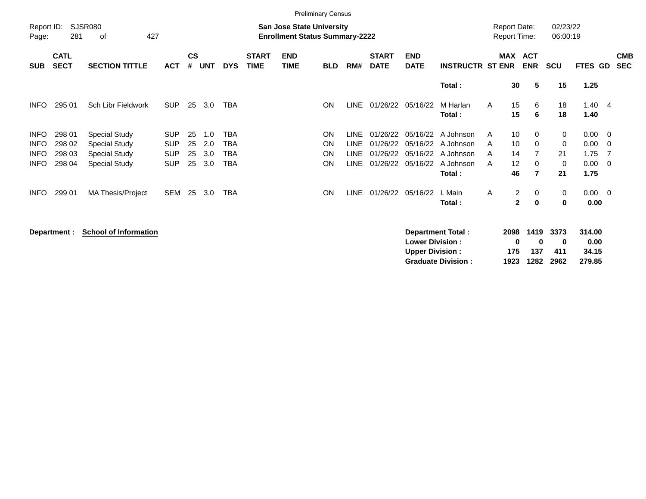|                            |                            |                                              |                          |                                                                           |            |            |                             | <b>Preliminary Census</b> |                        |                            |                             |                           |                                            |                              |                                                    |                  |                        |                          |                          |
|----------------------------|----------------------------|----------------------------------------------|--------------------------|---------------------------------------------------------------------------|------------|------------|-----------------------------|---------------------------|------------------------|----------------------------|-----------------------------|---------------------------|--------------------------------------------|------------------------------|----------------------------------------------------|------------------|------------------------|--------------------------|--------------------------|
| Report ID:<br>Page:        | 281                        | <b>SJSR080</b><br>427<br>οf                  |                          | <b>San Jose State University</b><br><b>Enrollment Status Summary-2222</b> |            |            |                             |                           |                        |                            |                             |                           | <b>Report Date:</b><br><b>Report Time:</b> |                              | 02/23/22<br>06:00:19                               |                  |                        |                          |                          |
| <b>SUB</b>                 | <b>CATL</b><br><b>SECT</b> | <b>SECTION TITTLE</b>                        | <b>ACT</b>               | $\mathsf{cs}$<br>#                                                        | <b>UNT</b> | <b>DYS</b> | <b>START</b><br><b>TIME</b> | <b>END</b><br><b>TIME</b> | <b>BLD</b>             | RM#                        | <b>START</b><br><b>DATE</b> | <b>END</b><br><b>DATE</b> | <b>INSTRUCTR ST ENR</b>                    | <b>MAX</b>                   | <b>ACT</b><br><b>ENR</b>                           | <b>SCU</b>       | FTES GD                |                          | <b>CMB</b><br><b>SEC</b> |
|                            |                            |                                              |                          |                                                                           |            |            |                             |                           |                        |                            |                             |                           | Total:                                     | 30                           | 5                                                  | 15               | 1.25                   |                          |                          |
| <b>INFO</b>                | 295 01                     | Sch Libr Fieldwork                           | <b>SUP</b>               | 25                                                                        | 3.0        | <b>TBA</b> |                             |                           | <b>ON</b>              | <b>LINE</b>                | 01/26/22                    | 05/16/22                  | M Harlan<br>Total:                         | 15<br>A<br>15                | 6<br>6                                             | 18<br>18         | 1.40<br>1.40           | $\overline{4}$           |                          |
| <b>INFO</b><br><b>INFO</b> | 298 01<br>298 02           | <b>Special Study</b><br><b>Special Study</b> | <b>SUP</b><br><b>SUP</b> | 25<br>25                                                                  | 1.0<br>2.0 | TBA<br>TBA |                             |                           | <b>ON</b><br><b>ON</b> | <b>LINE</b><br><b>LINE</b> | 01/26/22<br>01/26/22        |                           | 05/16/22 A Johnson<br>05/16/22 A Johnson   | 10<br>A<br>10<br>A           | $\Omega$<br>$\Omega$                               | $\mathbf 0$<br>0 | $0.00 \quad 0$<br>0.00 | $\overline{0}$           |                          |
| <b>INFO</b>                | 298 03                     | <b>Special Study</b>                         | <b>SUP</b>               | 25                                                                        | 3.0        | TBA        |                             |                           | ON                     | <b>LINE</b>                | 01/26/22                    |                           | 05/16/22 A Johnson                         | 14<br>A                      | $\overline{7}$                                     | 21               | 1.75                   | - 7                      |                          |
| <b>INFO</b>                | 298 04                     | <b>Special Study</b>                         | <b>SUP</b>               | 25                                                                        | 3.0        | TBA        |                             |                           | ON                     | <b>LINE</b>                | 01/26/22                    | 05/16/22                  | A Johnson<br>Total:                        | $12 \overline{ }$<br>A<br>46 | 0<br>$\overline{7}$                                | 0<br>21          | 0.00<br>1.75           | $\overline{\phantom{0}}$ |                          |
| <b>INFO</b>                | 299 01                     | <b>MA Thesis/Project</b>                     | <b>SEM</b>               | 25                                                                        | 3.0        | <b>TBA</b> |                             |                           | ON                     | LINE                       | 01/26/22                    | 05/16/22                  | L Main<br>Total :                          | A                            | $\overline{a}$<br>0<br>$\mathbf{2}$<br>$\mathbf 0$ | 0<br>0           | $0.00 \ 0$<br>0.00     |                          |                          |

**Department : School of Information in the state of Properties of the UP of Properties Constructed SCHOOL 2098 1419 3373 314.00 Lower Division :**  $\begin{array}{cccc} 0 & 0 & 0 & 0.00 \\ \text{Upper Division:} & 175 & 137 & 411 & 34.15 \end{array}$ **Upper Division : 175 137 411 34.15<br>Graduate Division : 1923 1282 2962 279.85 Graduate Division : 1923 1282 2962 279.85**